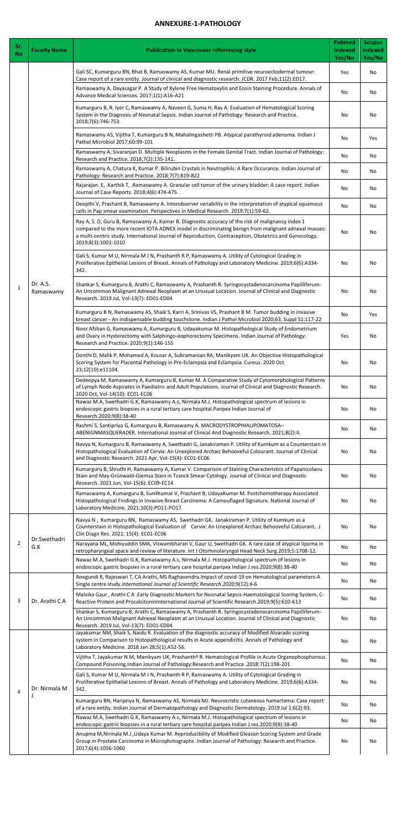## **ANNEXURE-1-PATHOLOGY**

| Sr.<br><b>No</b> | <b>Faculty Name</b>                  | <b>Publication in Vancouver referencing style</b>                                                                                                                                                                                                                                                                                          | <b>Pubmed</b><br><b>Indexed</b><br>Yes/No | <b>Scopus</b><br><b>Indexed</b><br>Yes/No |
|------------------|--------------------------------------|--------------------------------------------------------------------------------------------------------------------------------------------------------------------------------------------------------------------------------------------------------------------------------------------------------------------------------------------|-------------------------------------------|-------------------------------------------|
|                  | Dr. A.S.<br>Ramaswamy                | Gali SC, Kumarguru BN, Bhat B, Ramaswamy AS, Kumar MU. Renal primitive neuroectodermal tumour:<br>Case report of a rare entity. Journal of clinical and diagnostic research: JCDR. 2017 Feb;11(2):ED17.                                                                                                                                    | Yes                                       | No                                        |
|                  |                                      | Ramaswamy A, Dayasagar P. A Study of Xylene Free Hematoxylin and Eosin Staining Procedure. Annals of<br>Advance Medical Sciences. 2017;1(1):A16-A21                                                                                                                                                                                        | No                                        | No                                        |
|                  |                                      | Kumarguru B, R. Iyer C, Ramaswamy A, Naveen G, Suma H, Ray A. Evaluation of Hematological Scoring<br>System in the Diagnosis of Neonatal Sepsis. Indian Journal of Pathology: Research and Practice.<br>2018;7(6):746-753.                                                                                                                 | No                                        | No                                        |
|                  |                                      | Ramaswamy AS, Vijitha T, Kumarguru B N, Mahalingashetti PB. Atypical parathyroid adenoma. Indian J<br>Pathol Microbiol 2017;60:99-101                                                                                                                                                                                                      | No                                        | Yes                                       |
|                  |                                      | Ramaswamy A, Sivaranjan D. Multiple Neoplasms in the Female Genital Tract. Indian Journal of Pathology:<br>Research and Practice. 2018;7(2):135-141.                                                                                                                                                                                       | No                                        | No                                        |
|                  |                                      | Ramaswamy A, Chatura K, Kumar P. Bilirubin Crystals in Neutrophils: A Rare Occurance. Indian Journal of<br>Pathology: Research and Practice. 2018;7(7):819-822                                                                                                                                                                             | No                                        | No                                        |
|                  |                                      | Rajarajan. E, .Karthik T, .Ramaswamy A. Granular cell tumor of the urinary bladder: A case report. Indian<br>Journal of Case Reports. 2018;4(6):474-475.                                                                                                                                                                                   | No                                        | No                                        |
|                  |                                      | Deepthi V, Prashant B, Ramaswamy A. Interobserver variability in the interpretation of atypical squamous<br>cells in Pap smear examination. Perspectives in Medical Research. 2019;7(1):59-62.                                                                                                                                             | No                                        | No                                        |
|                  |                                      | Ray A, S. D, Guru B, Ramaswamy A, Kumar B. Diagnostic accuracy of the risk of malignancy index 1<br>compared to the more recent IOTA ADNEX model in discriminating benign from malignant adnexal masses:<br>a multi-centric study. International Journal of Reproduction, Contraception, Obstetrics and Gynecology.<br>2019;8(3):1001-1010 | No                                        | No                                        |
|                  |                                      | Gali S, Kumar M U, Nirmala M J N, Prashanth R P, Ramaswamy A. Utility of Cytological Grading in<br>Proliferative Epithelial Lesions of Breast. Annals of Pathology and Laboratory Medicine. 2019;6(6):A334-<br>342.                                                                                                                        | No                                        | No                                        |
| $\mathbf{1}$     |                                      | Shankar S, Kumarguru B, Arathi C, Ramaswamy A, Prashanth R. Syringocystadenocarcinoma Papilliferum-<br>An Uncommon Malignant Adnexal Neoplasm at an Unusual Location. Journal of Clinical and Diagnostic<br>Research. 2019 Jul, Vol-13(7): ED01-ED04                                                                                       | No                                        | No                                        |
|                  |                                      | Kumarguru B N, Ramaswamy AS, Shaik S, Karri A, Srinivas VS, Prashant B M. Tumor budding in invasive<br>breast cancer - An indispensable budding touchstone. Indian J Pathol Microbiol 2020;63, Suppl S1:117-22                                                                                                                             | No                                        | Yes                                       |
|                  |                                      | Noor Afshan G, Ramaswamy A, Kumarguru B, Udayakumar M. Histopathological Study of Endometrium<br>and Ovary in Hysterectomy with Salphingo-oophorectomy Specimens. Indian Journal of Pathology:<br>Research and Practice. 2020;9(1):146-155                                                                                                 | Yes                                       | No                                        |
|                  |                                      | Donthi D, Malik P, Mohamed A, Kousar A, Subramanian RA, Manikyam UK. An Objective Histopathological<br>Scoring System for Placental Pathology in Pre-Eclampsia and Eclampsia. Cureus. 2020 Oct<br>23;12(10):e11104.                                                                                                                        | No                                        | No                                        |
|                  |                                      | Dedeepya M, Ramaswamy A, Kumarguru B, Kumar M. A Comparative Study of Cytomorphological Patterns<br>of Lymph Node Aspirates in Paediatric and Adult Populations. Journal of Clinical and Diagnostic Research.<br>2020 Oct, Vol-14(10): EC01-EC06                                                                                           | No                                        | No                                        |
|                  |                                      | Nawaz M.A, Swethadri G.K, Ramaswamy A.s, Nirmala M.J. Histopathological spectrum of lesions in<br>endoscopic gastric biopsies in a rural tertiary care hospital. Paripex Indian Journal of<br>Research.2020;9(8):38-40                                                                                                                     | No                                        | No                                        |
|                  |                                      | Rashmi S, Santipriya G, Kumarguru B, Ramaswamy A. MACRODYSTROPHIALIPOMATOSA-<br>ABENIGNMASQUERADER. International Journal of Clinical And Diagnostic Research. 2021;8(2):II.                                                                                                                                                               | No                                        | No                                        |
|                  |                                      | Navya N, Kumarguru B, Ramaswamy A, Swethadri G, Janakiraman P. Utility of Kumkum as a Counterstain in<br>Histopathological Evaluation of Cervix: An Unexplored Archaic Behooveful Colourant. Journal of Clinical<br>and Diagnostic Research. 2021 Apr, Vol-15(4): EC01-EC06                                                                | No                                        | No                                        |
|                  |                                      | Kumarguru B, Shruthi H, Ramaswamy A, Kumar V. Comparison of Staining Characteristics of Papanicolaou<br>Stain and May-Grünwald-Giemsa Stain in Tzanck Smear Cytology. Journal of Clinical and Diagnostic<br>Research. 2021 Jun, Vol-15(6): EC09-EC14                                                                                       | No                                        | No                                        |
|                  |                                      | Ramaswamy A, Kumarguru B, SunilKumar V, Prashant B, UdayaKumar M. Postchemotherapy Associated<br>Histopathological Findings in Invasive Breast Carcinoma: A Camouflaged Signature. National Journal of<br>Laboratory Medicine. 2021;10(3):PO11-PO17.                                                                                       | No                                        | No                                        |
|                  | Dr.Swethadri<br>G.K<br>Dr. Arathi CA | Navya N, Kumarguru BN, Ramaswamy AS, Swethadri GK, Janakiraman P. Utility of Kumkum as a<br>Counterstain in Histopathological Evaluation of Cervix: An Unexplored Archaic Behooveful Colourant. J<br>Clin Diagn Res. 2021; 15(4): EC01-EC06                                                                                                | No                                        | No                                        |
| $\overline{2}$   |                                      | Narayana ML, Mohiyuddin SMA, Viswambharan V, Gaur U, Swethadri GK. A rare case of atypical lipoma in<br>retropharyngeal space and review of literature. Int J Otorhinolaryngol Head Neck Surg.2019;5:1708-12.                                                                                                                              | No                                        | No                                        |
|                  |                                      | Nawaz M.A, Swethadri G.K, Ramaswamy A.s, Nirmala M.J. Histopathological spectrum of lesions in<br>endoscopic gastric biopsies in a rural tertiary care hospital.paripex Indian J.res.2020;9(8):38-40                                                                                                                                       | No                                        | No                                        |
|                  |                                      | Anegundi R, Rajeswari T, CA Arathi, MS Raghavendra. Impact of covid-19 on Hematological parameters-A<br>Single centre study.International Journal of Scientific Research.2020;9(12):4-6<br>Malvika Gaur, Arathi C A . Early Diagnostic Markers for Neonatal Sepsis-Haematological Scoring System, C-                                       | No                                        | No                                        |
| 3                |                                      | Reactive Protein and ProcalcitoninInternational Journal of Scientific Research.2019;9(5):610-613<br>Shankar S, Kumarguru B, Arathi C, Ramaswamy A, Prashanth R. Syringocystadenocarcinoma Papilliferum-                                                                                                                                    | No                                        | No                                        |
|                  |                                      | An Uncommon Malignant Adnexal Neoplasm at an Unusual Location. Journal of Clinical and Diagnostic<br>Research. 2019 Jul, Vol-13(7): ED01-ED04<br>Jayakumar NM, Shaik S, Naidu R. Evaluation of the diagnostic accuracy of Modified Alvarado scoring                                                                                        | No                                        | No                                        |
|                  | Dr. Nirmala M                        | system in Comparison to Histopathological results in Acute appendicitis. Annals of Pathology and<br>Laboratory Medicine. 2018 Jan 28;5(1):A52-56.                                                                                                                                                                                          | No                                        | No                                        |
| 4                |                                      | Vijitha T, Jayakumar N M, Manikyam UK, Prashanthº R. Hematological Profile in Acute Organophosphorous<br>Compound Poisoning.Indian Journal of Pathology:Research and Practice .2018:7(2):198-201                                                                                                                                           | No                                        | No                                        |
|                  |                                      | Gali S, Kumar M U, Nirmala M J N, Prashanth R P, Ramaswamy A. Utility of Cytological Grading in<br>Proliferative Epithelial Lesions of Breast. Annals of Pathology and Laboratory Medicine. 2019;6(6):A334-<br>342.                                                                                                                        | No                                        | No                                        |
|                  |                                      | Kumarguru BN, Haripriya N, Ramaswamy AS, Nirmala MJ. Neurocristic cutaneous hamartoma: Case report<br>of a rare entity. Indian Journal of Dermatopathology and Diagnostic Dermatology. 2019 Jul 1;6(2):93.                                                                                                                                 | No                                        | No                                        |
|                  |                                      | Nawaz M.A, Swethadri G.K, Ramaswamy A.s, Nirmala M.J. Histopathological spectrum of lesions in<br>endoscopic gastric biopsies in a rural tertiary care hospital.paripex Indian J.res.2020;9(8):38-40                                                                                                                                       | No                                        | No                                        |
|                  |                                      | Anupma M, Nirmala M.J , Udaya Kumar M. Reproducibility of Modified Gleason Scoring System and Grade<br>Group in Prostate Carcinoma in Microphotographs .Indian Journal of Pathology: Research and Practice.<br>2017;6(4):1056-1060                                                                                                         | No                                        | No                                        |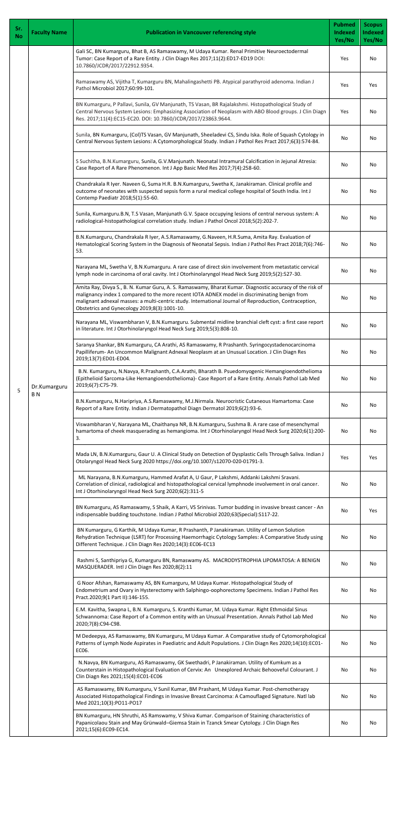| Sr.<br><b>No</b> | <b>Faculty Name</b>            | <b>Publication in Vancouver referencing style</b>                                                                                                                                                                                                                                                                                                                   | <b>Pubmed</b><br>Indexed<br>Yes/No | <b>Scopus</b><br><b>Indexed</b><br>Yes/No |
|------------------|--------------------------------|---------------------------------------------------------------------------------------------------------------------------------------------------------------------------------------------------------------------------------------------------------------------------------------------------------------------------------------------------------------------|------------------------------------|-------------------------------------------|
|                  |                                | Gali SC, BN Kumarguru, Bhat B, AS Ramaswamy, M Udaya Kumar. Renal Primitive Neuroectodermal<br>Tumor: Case Report of a Rare Entity. J Clin Diagn Res 2017;11(2):ED17-ED19 DOI:<br>10.7860/JCDR/2017/22912.9354.                                                                                                                                                     | Yes                                | No                                        |
|                  |                                | Ramaswamy AS, Vijitha T, Kumarguru BN, Mahalingashetti PB. Atypical parathyroid adenoma. Indian J<br>Pathol Microbiol 2017;60:99-101.                                                                                                                                                                                                                               | Yes                                | Yes                                       |
|                  |                                | BN Kumarguru, P Pallavi, Sunila, GV Manjunath, TS Vasan, BR Rajalakshmi. Histopathological Study of<br>Central Nervous System Lesions: Emphasizing Association of Neoplasm with ABO Blood groups. J Clin Diagn<br>Res. 2017;11(4):EC15-EC20. DOI: 10.7860/JCDR/2017/23863.9644.                                                                                     | Yes                                | No                                        |
|                  |                                | Sunila, BN Kumarguru, (Col)TS Vasan, GV Manjunath, Sheeladevi CS, Sindu Iska. Role of Squash Cytology in<br>Central Nervous System Lesions: A Cytomorphological Study. Indian J Pathol Res Pract 2017;6(3):574-84.                                                                                                                                                  | No                                 | No                                        |
|                  |                                | S Suchitha, B.N.Kumarguru, Sunila, G.V.Manjunath. Neonatal Intramural Calcification in Jejunal Atresia:<br>Case Report of A Rare Phenomenon. Int J App Basic Med Res 2017;7(4):258-60.                                                                                                                                                                              | No                                 | No                                        |
|                  |                                | Chandrakala R Iyer. Naveen G, Suma H.R. B.N.Kumarguru, Swetha K, Janakiraman. Clinical profile and<br>outcome of neonates with suspected sepsis form a rural medical college hospital of South India. Int J<br>Contemp Paediatr 2018;5(1):55-60.                                                                                                                    | No                                 | No                                        |
|                  |                                | Sunila, Kumarguru.B.N, T.S Vasan, Manjunath G.V. Space occupying lesions of central nervous system: A<br>radiological-histopathological correlation study. Indian J Pathol Oncol 2018;5(2):202-7.                                                                                                                                                                   | No                                 | No                                        |
|                  |                                | B.N.Kumarguru, Chandrakala R Iyer, A.S.Ramaswamy, G.Naveen, H.R.Suma, Amita Ray. Evaluation of<br>Hematological Scoring System in the Diagnosis of Neonatal Sepsis. Indian J Pathol Res Pract 2018;7(6):746-<br>53.                                                                                                                                                 | No                                 | No                                        |
|                  |                                | Narayana ML, Swetha V, B.N.Kumarguru. A rare case of direct skin involvement from metastatic cervical<br>lymph node in carcinoma of oral cavity. Int J Otorhinolaryngol Head Neck Surg 2019;5(2):527-30.                                                                                                                                                            | No                                 | No                                        |
|                  |                                | Amita Ray, Divya S., B. N. Kumar Guru, A. S. Ramaswamy, Bharat Kumar. Diagnostic accuracy of the risk of<br>malignancy index 1 compared to the more recent IOTA ADNEX model in discriminating benign from<br>malignant adnexal masses: a multi-centric study. International Journal of Reproduction, Contraception,<br>Obstetrics and Gynecology 2019;8(3):1001-10. | No                                 | No                                        |
|                  |                                | Narayana ML, Viswambharan V, B.N.Kumarguru. Submental midline branchial cleft cyst: a first case report<br>in literature. Int J Otorhinolaryngol Head Neck Surg 2019;5(3):808-10.                                                                                                                                                                                   | No                                 | No                                        |
|                  | Dr.Kumarguru<br>B <sub>N</sub> | Saranya Shankar, BN Kumarguru, CA Arathi, AS Ramaswamy, R Prashanth. Syringocystadenocarcinoma<br>Papilliferum- An Uncommon Malignant Adnexal Neoplasm at an Unusual Location. J Clin Diagn Res<br>2019;13(7):ED01-ED04.                                                                                                                                            | No                                 | No                                        |
|                  |                                | B.N. Kumarguru, N.Navya, R.Prashanth, C.A.Arathi, Bharath B. Psuedomyogenic Hemangioendothelioma<br>(Epithelioid Sarcoma-Like Hemangioendothelioma)- Case Report of a Rare Entity. Annals Pathol Lab Med<br>2019;6(7):C75-79.                                                                                                                                       | No                                 | No                                        |
| 5                |                                | B.N.Kumarguru, N.Haripriya, A.S.Ramaswamy, M.J.Nirmala. Neurocristic Cutaneous Hamartoma: Case<br>Report of a Rare Entity. Indian J Dermatopathol Diagn Dermatol 2019;6(2):93-6.                                                                                                                                                                                    | No                                 | No                                        |
|                  |                                | Viswambharan V, Narayana ML, Chaithanya NR, B.N.Kumarguru, Sushma B. A rare case of mesenchymal<br>hamartoma of cheek masquerading as hemangioma. Int J Otorhinolaryngol Head Neck Surg 2020;6(1):200-<br>3.                                                                                                                                                        | No                                 | No                                        |
|                  |                                | Mada LN, B.N.Kumarguru, Gaur U. A Clinical Study on Detection of Dysplastic Cells Through Saliva. Indian J<br>Otolaryngol Head Neck Surg 2020 https://doi.org/10.1007/s12070-020-01791-3.                                                                                                                                                                           | Yes                                | Yes                                       |
|                  |                                | ML Narayana, B.N.Kumarguru, Hammed Arafat A, U Gaur, P Lakshmi, Addanki Lakshmi Sravani.<br>Correlation of clinical, radiological and histopathological cervical lymphnode involvement in oral cancer.<br>Int J Otorhinolaryngol Head Neck Surg 2020;6(2):311-5                                                                                                     | No                                 | No                                        |
|                  |                                | BN Kumarguru, AS Ramaswamy, S Shaik, A Karri, VS Srinivas. Tumor budding in invasive breast cancer - An<br>indispensable budding touchstone. Indian J Pathol Microbiol 2020;63(Special):S117-22.                                                                                                                                                                    | No                                 | Yes                                       |
|                  |                                | BN Kumarguru, G Karthik, M Udaya Kumar, R Prashanth, P Janakiraman. Utility of Lemon Solution<br>Rehydration Technique (LSRT) for Processing Haemorrhagic Cytology Samples: A Comparative Study using<br>Different Technique. J Clin Diagn Res 2020;14(3):EC06-EC13                                                                                                 | No                                 | No                                        |
|                  |                                | Rashmi S, Santhipriya G, Kumarguru BN, Ramaswamy AS. MACRODYSTROPHIA LIPOMATOSA: A BENIGN<br>MASQUERADER. Intl J Clin Diagn Res 2020;8(2):11                                                                                                                                                                                                                        | No                                 | No                                        |
|                  |                                | G Noor Afshan, Ramaswamy AS, BN Kumarguru, M Udaya Kumar. Histopathological Study of<br>Endometrium and Ovary in Hysterectomy with Salphingo-oophorectomy Specimens. Indian J Pathol Res<br>Pract.2020;9(1 Part II):146-155.                                                                                                                                        | No                                 | No                                        |
|                  |                                | E.M. Kavitha, Swapna L, B.N. Kumarguru, S. Kranthi Kumar, M. Udaya Kumar. Right Ethmoidal Sinus<br>Schwannoma: Case Report of a Common entity with an Unusual Presentation. Annals Pathol Lab Med<br>2020;7(8):C94-C98.                                                                                                                                             | No                                 | No                                        |
|                  |                                | M Dedeepya, AS Ramaswamy, BN Kumarguru, M Udaya Kumar. A Comparative study of Cytomorphological<br>Patterns of Lymph Node Aspirates in Paediatric and Adult Populations. J Clin Diagn Res 2020;14(10):EC01-<br>EC06.                                                                                                                                                | No                                 | No                                        |
|                  |                                | N.Navya, BN Kumarguru, AS Ramaswamy, GK Swethadri, P Janakiraman. Utility of Kumkum as a<br>Counterstain in Histopathological Evaluation of Cervix: An Unexplored Archaic Behooveful Colourant. J<br>Clin Diagn Res 2021;15(4):EC01-EC06                                                                                                                            | No                                 | No                                        |
|                  |                                | AS Ramaswamy, BN Kumarguru, V Sunil Kumar, BM Prashant, M Udaya Kumar. Post-chemotherapy<br>Associated Histopathological Findings in Invasive Breast Carcinoma: A Camouflaged Signature. Natl lab<br>Med 2021;10(3):PO11-PO17                                                                                                                                       | No                                 | No                                        |
|                  |                                | BN Kumarguru, HN Shruthi, AS Ramswamy, V Shiva Kumar. Comparison of Staining characteristics of<br>Papanicolaou Stain and May Grünwald-Giemsa Stain in Tzanck Smear Cytology. J Clin Diagn Res<br>2021;15(6):EC09-EC14.                                                                                                                                             | No                                 | No                                        |